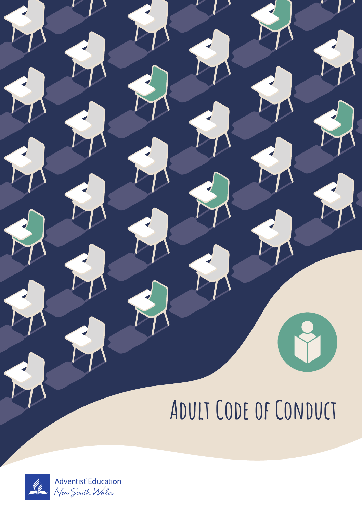# **Adult Code of Conduct**

Ÿ

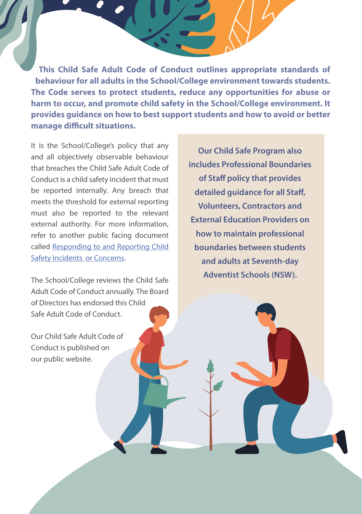**This Child Safe Adult Code of Conduct outlines appropriate standards of behaviour for all adults in the School/College environment towards students. The Code serves to protect students, reduce any opportunities for abuse or harm to occur, and promote child safety in the School/College environment. It provides guidance on how to best support students and how to avoid or better manage difficult situations.** 

It is the School/College's policy that any and all objectively observable behaviour that breaches the Child Safe Adult Code of Conduct is a child safety incident that must be reported internally. Any breach that meets the threshold for external reporting must also be reported to the relevant external authority. For more information, refer to another public facing document called Responding to and Reporting Child Safety Incidents or Concerns.

The School/College reviews the Child Safe Adult Code of Conduct annually. The Board of Directors has endorsed this Child Safe Adult Code of Conduct.

Our Child Safe Adult Code of Conduct is published on our public website.

**Our Child Safe Program also includes Professional Boundaries of Staff policy that provides detailed guidance for all Staff, Volunteers, Contractors and External Education Providers on how to maintain professional boundaries between students and adults at Seventh-day Adventist Schools (NSW).**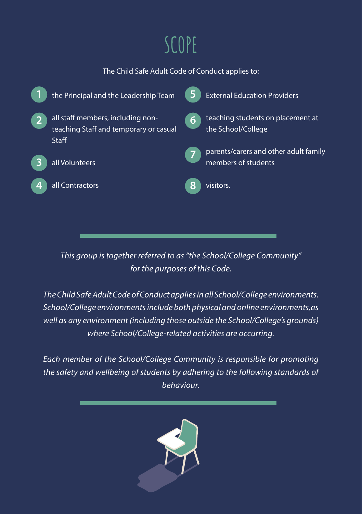# **SCOPE**

#### The Child Safe Adult Code of Conduct applies to:



*This group is together referred to as "the School/College Community" for the purposes of this Code.*

*The Child Safe Adult Code of Conduct applies in all School/College environments. School/College environments include both physical and online environments,as well as any environment (including those outside the School/College's grounds) where School/College-related activities are occurring.*

*Each member of the School/College Community is responsible for promoting the safety and wellbeing of students by adhering to the following standards of behaviour.*

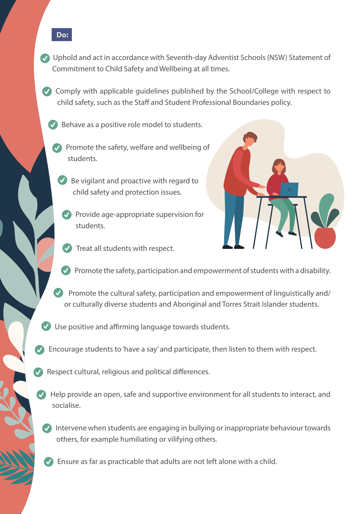- Uphold and act in accordance with Seventh-day Adventist Schools (NSW) Statement of Commitment to Child Safety and Wellbeing at all times.
- Comply with applicable quidelines published by the School/College with respect to child safety, such as the Staff and Student Professional Boundaries policy.
	- Behave as a positive role model to students.

**Do:**

- Promote the safety, welfare and wellbeing of students.
	- Be vigilant and proactive with regard to child safety and protection issues.
		- Provide age-appropriate supervision for students.



- $\vee$  Treat all students with respect.
- Promote the safety, participation and empowerment of students with a disability.
- Promote the cultural safety, participation and empowerment of linguistically and/ or culturally diverse students and Aboriginal and Torres Strait Islander students.
- Use positive and affirming language towards students.
- Encourage students to 'have a say' and participate, then listen to them with respect.
- Respect cultural, religious and political differences.
	- Help provide an open, safe and supportive environment for all students to interact, and socialise.
	- Intervene when students are engaging in bullying or inappropriate behaviour towards others, for example humiliating or vilifying others.
	- **C** Ensure as far as practicable that adults are not left alone with a child.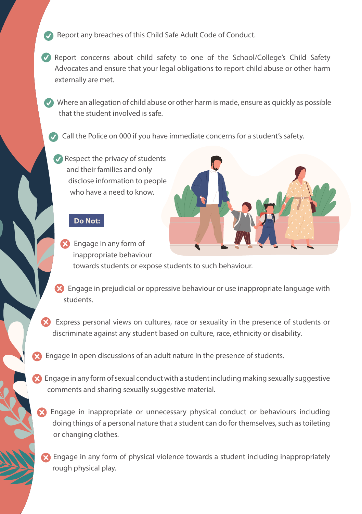- Report any breaches of this Child Safe Adult Code of Conduct.
- Report concerns about child safety to one of the School/College's Child Safety Advocates and ensure that your legal obligations to report child abuse or other harm externally are met.
- Where an allegation of child abuse or other harm is made, ensure as quickly as possible that the student involved is safe.
	- Call the Police on 000 if you have immediate concerns for a student's safety.
		- Respect the privacy of students and their families and only disclose information to people who have a need to know.

#### **Do Not:**

Engage in any form of inappropriate behaviour towards students or expose students to such behaviour.



- Engage in prejudicial or oppressive behaviour or use inappropriate language with students.
- Express personal views on cultures, race or sexuality in the presence of students or discriminate against any student based on culture, race, ethnicity or disability.
- **Engage in open discussions of an adult nature in the presence of students.**
- $\Omega$  Engage in any form of sexual conduct with a student including making sexually suggestive comments and sharing sexually suggestive material.
	- Engage in inappropriate or unnecessary physical conduct or behaviours including doing things of a personal nature that a student can do for themselves, such as toileting or changing clothes.
	- Engage in any form of physical violence towards a student including inappropriately rough physical play.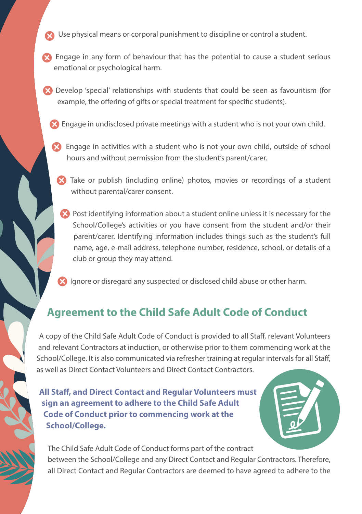- Use physical means or corporal punishment to discipline or control a student.
- Engage in any form of behaviour that has the potential to cause a student serious emotional or psychological harm.
- Develop 'special' relationships with students that could be seen as favouritism (for example, the offering of gifts or special treatment for specific students).
	- Engage in undisclosed private meetings with a student who is not your own child.
	- Engage in activities with a student who is not your own child, outside of school hours and without permission from the student's parent/carer.
		- Take or publish (including online) photos, movies or recordings of a student without parental/carer consent.
		- **Post identifying information about a student online unless it is necessary for the** School/College's activities or you have consent from the student and/or their parent/carer. Identifying information includes things such as the student's full name, age, e-mail address, telephone number, residence, school, or details of a club or group they may attend.

**Ignore or disregard any suspected or disclosed child abuse or other harm.** 

## Agreement to the Child Safe Adult Code of Conduct

A copy of the Child Safe Adult Code of Conduct is provided to all Staff, relevant Volunteers and relevant Contractors at induction, or otherwise prior to them commencing work at the School/College. It is also communicated via refresher training at regular intervals for all Staff, as well as Direct Contact Volunteers and Direct Contact Contractors.

**All Staff, and Direct Contact and Regular Volunteers must sign an agreement to adhere to the Child Safe Adult Code of Conduct prior to commencing work at the School/College.**

The Child Safe Adult Code of Conduct forms part of the contract between the School/College and any Direct Contact and Regular Contractors. Therefore, all Direct Contact and Regular Contractors are deemed to have agreed to adhere to the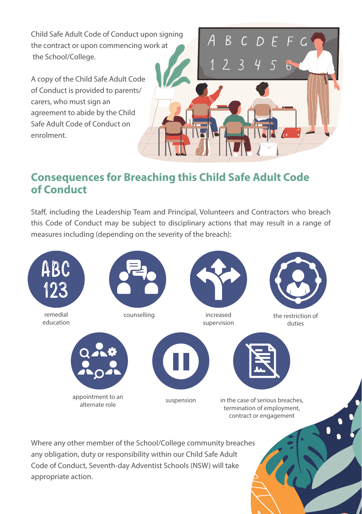Child Safe Adult Code of Conduct upon signing the contract or upon commencing work at the School/College.

A copy of the Child Safe Adult Code of Conduct is provided to parents/ carers, who must sign an agreement to abide by the Child Safe Adult Code of Conduct on enrolment.



# Consequences for Breaching this Child Safe Adult Code of Conduct

Staff, including the Leadership Team and Principal, Volunteers and Contractors who breach this Code of Conduct may be subject to disciplinary actions that may result in a range of measures including (depending on the severity of the breach):



Where any other member of the School/College community breaches any obligation, duty or responsibility within our Child Safe Adult Code of Conduct, Seventh-day Adventist Schools (NSW) will take appropriate action.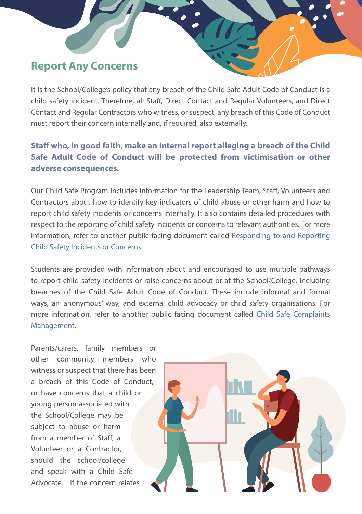### Report Any Concerns

It is the School/College's policy that any breach of the Child Safe Adult Code of Conduct is a child safety incident. Therefore, all Staff, Direct Contact and Regular Volunteers, and Direct Contact and Regular Contractors who witness, or suspect, any breach of this Code of Conduct must report their concern internally and, if required, also externally.

#### **Staff who, in good faith, make an internal report alleging a breach of the Child Safe Adult Code of Conduct will be protected from victimisation or other adverse consequences.**

Our Child Safe Program includes information for the Leadership Team, Staff, Volunteers and Contractors about how to identify key indicators of child abuse or other harm and how to report child safety incidents or concerns internally. It also contains detailed procedures with respect to the reporting of child safety incidents or concerns to relevant authorities. For more information, refer to another public facing document called Responding to and Reporting Child Safety Incidents or Concerns.

Students are provided with information about and encouraged to use multiple pathways to report child safety incidents or raise concerns about or at the School/College, including breaches of the Child Safe Adult Code of Conduct. These include informal and formal ways, an 'anonymous' way, and external child advocacy or child safety organisations. For more information, refer to another public facing document called Child Safe Complaints Management.

Parents/carers, family members or other community members who witness or suspect that there has been a breach of this Code of Conduct, or have concerns that a child or young person associated with the School/College may be subject to abuse or harm from a member of Staff, a Volunteer or a Contractor, should the school/college and speak with a Child Safe Advocate. If the concern relates